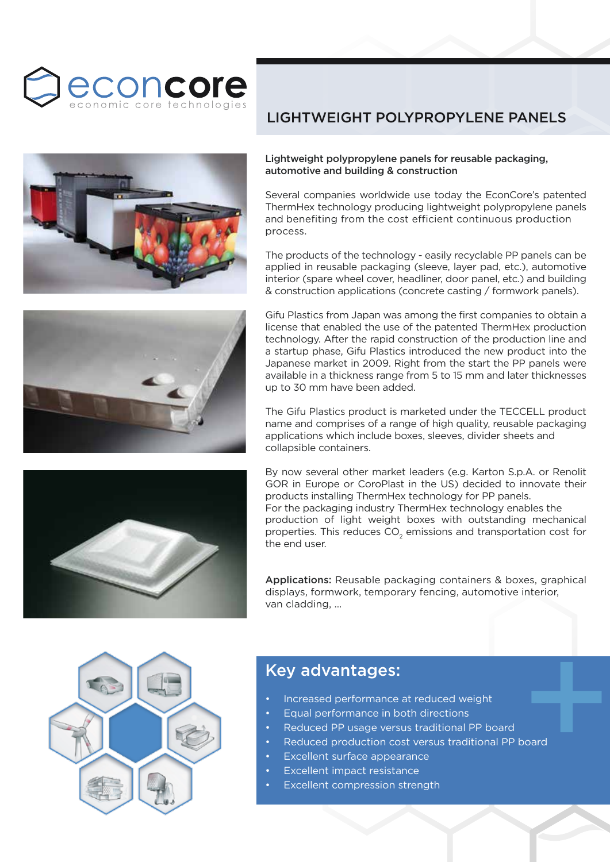



## LIGHTWEIGHT POLYPROPYLENE PANELS

## Lightweight polypropylene panels for reusable packaging, automotive and building & construction

Several companies worldwide use today the EconCore's patented ThermHex technology producing lightweight polypropylene panels and benefiting from the cost efficient continuous production process.

The products of the technology - easily recyclable PP panels can be applied in reusable packaging (sleeve, layer pad, etc.), automotive interior (spare wheel cover, headliner, door panel, etc.) and building & construction applications (concrete casting / formwork panels).

Gifu Plastics from Japan was among the first companies to obtain a license that enabled the use of the patented ThermHex production technology. After the rapid construction of the production line and a startup phase, Gifu Plastics introduced the new product into the Japanese market in 2009. Right from the start the PP panels were available in a thickness range from 5 to 15 mm and later thicknesses up to 30 mm have been added.

The Gifu Plastics product is marketed under the TECCELL product name and comprises of a range of high quality, reusable packaging applications which include boxes, sleeves, divider sheets and collapsible containers.

By now several other market leaders (e.g. Karton S.p.A. or Renolit GOR in Europe or CoroPlast in the US) decided to innovate their products installing ThermHex technology for PP panels. For the packaging industry ThermHex technology enables the production of light weight boxes with outstanding mechanical properties. This reduces  $\mathsf{CO}_2$  emissions and transportation cost for the end user.



Applications: Reusable packaging containers & boxes, graphical displays, formwork, temporary fencing, automotive interior, van cladding, ...



- Increased performance at reduced weight
- Equal performance in both directions
- Reduced PP usage versus traditional PP board
- Xey advantages:<br>
Increased performance at reduced weight<br>
Equal performance in both directions<br>
Reduced PP usage versus traditional PP board<br>
Reduced production cost versus traditional PP board<br>
Excellent surface Reduced production cost versus traditional PP board
- Excellent surface appearance
- Excellent impact resistance
- Excellent compression strength